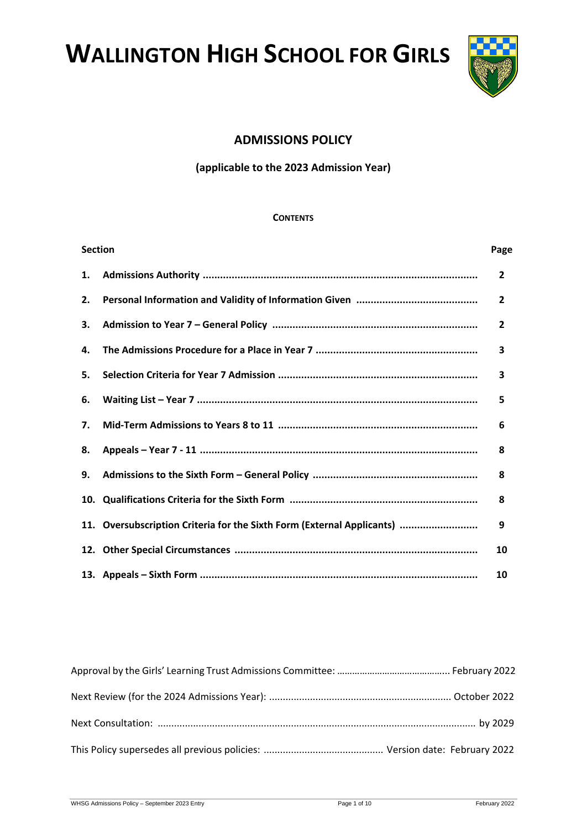**WALLINGTON HIGH SCHOOL FOR GIRLS**



# **ADMISSIONS POLICY**

# **(applicable to the 2023 Admission Year)**

#### **CONTENTS**

| <b>Section</b> |                                                                        |                |
|----------------|------------------------------------------------------------------------|----------------|
| 1.             |                                                                        | $\overline{2}$ |
| 2.             |                                                                        | $\overline{2}$ |
| 3.             |                                                                        | $\overline{2}$ |
| 4.             |                                                                        | 3              |
| 5.             |                                                                        | 3              |
| 6.             |                                                                        | 5              |
| 7.             |                                                                        | 6              |
| 8.             |                                                                        | 8              |
| 9.             |                                                                        | 8              |
|                |                                                                        | 8              |
|                | 11. Oversubscription Criteria for the Sixth Form (External Applicants) | 9              |
|                |                                                                        | 10             |
|                |                                                                        | 10             |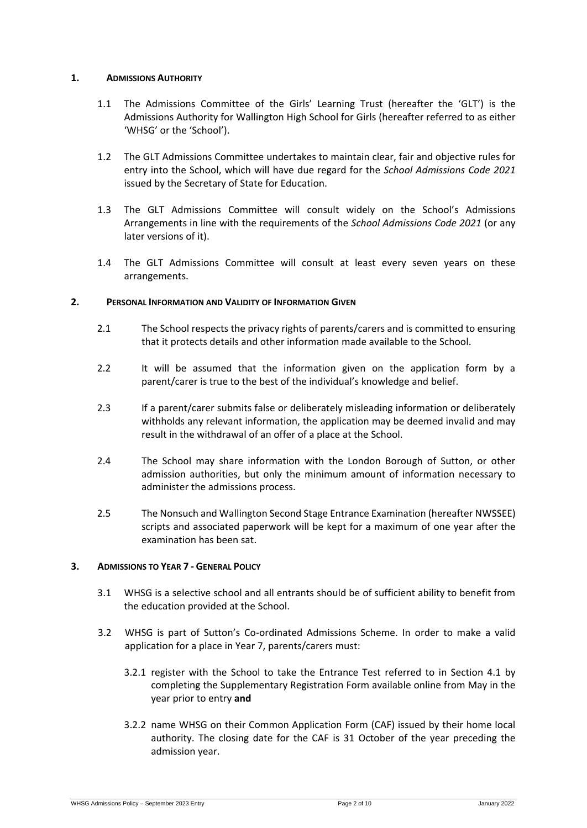## **1. ADMISSIONS AUTHORITY**

- 1.1 The Admissions Committee of the Girls' Learning Trust (hereafter the 'GLT') is the Admissions Authority for Wallington High School for Girls (hereafter referred to as either 'WHSG' or the 'School').
- 1.2 The GLT Admissions Committee undertakes to maintain clear, fair and objective rules for entry into the School, which will have due regard for the *School Admissions Code 2021* issued by the Secretary of State for Education.
- 1.3 The GLT Admissions Committee will consult widely on the School's Admissions Arrangements in line with the requirements of the *School Admissions Code 2021* (or any later versions of it).
- 1.4 The GLT Admissions Committee will consult at least every seven years on these arrangements.

## **2. PERSONAL INFORMATION AND VALIDITY OF INFORMATION GIVEN**

- 2.1 The School respects the privacy rights of parents/carers and is committed to ensuring that it protects details and other information made available to the School.
- 2.2 It will be assumed that the information given on the application form by a parent/carer is true to the best of the individual's knowledge and belief.
- 2.3 If a parent/carer submits false or deliberately misleading information or deliberately withholds any relevant information, the application may be deemed invalid and may result in the withdrawal of an offer of a place at the School.
- 2.4 The School may share information with the London Borough of Sutton, or other admission authorities, but only the minimum amount of information necessary to administer the admissions process.
- 2.5 The Nonsuch and Wallington Second Stage Entrance Examination (hereafter NWSSEE) scripts and associated paperwork will be kept for a maximum of one year after the examination has been sat.

# **3. ADMISSIONS TO YEAR 7 - GENERAL POLICY**

- 3.1 WHSG is a selective school and all entrants should be of sufficient ability to benefit from the education provided at the School.
- 3.2 WHSG is part of Sutton's Co-ordinated Admissions Scheme. In order to make a valid application for a place in Year 7, parents/carers must:
	- 3.2.1 register with the School to take the Entrance Test referred to in Section 4.1 by completing the Supplementary Registration Form available online from May in the year prior to entry **and**
	- 3.2.2 name WHSG on their Common Application Form (CAF) issued by their home local authority. The closing date for the CAF is 31 October of the year preceding the admission year.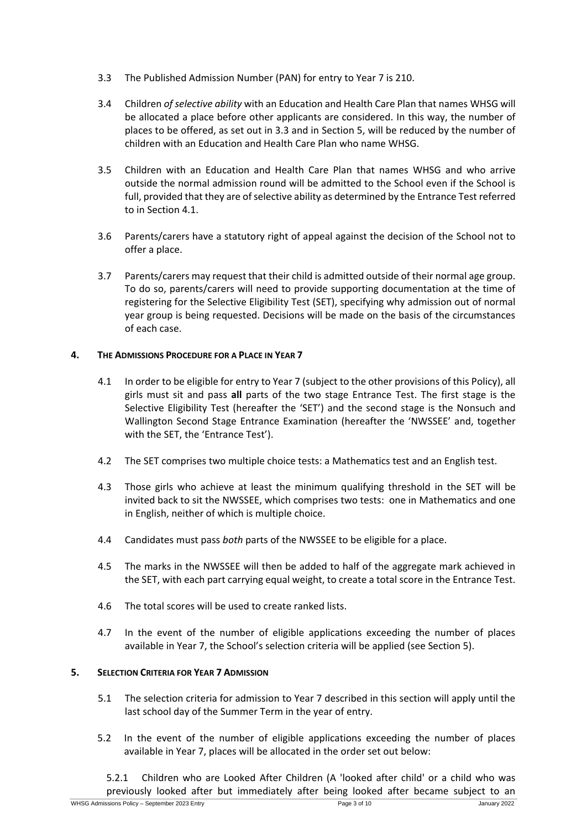- 3.3 The Published Admission Number (PAN) for entry to Year 7 is 210.
- 3.4 Children *of selective ability* with an Education and Health Care Plan that names WHSG will be allocated a place before other applicants are considered. In this way, the number of places to be offered, as set out in 3.3 and in Section 5, will be reduced by the number of children with an Education and Health Care Plan who name WHSG.
- 3.5 Children with an Education and Health Care Plan that names WHSG and who arrive outside the normal admission round will be admitted to the School even if the School is full, provided that they are of selective ability as determined by the Entrance Test referred to in Section 4.1.
- 3.6 Parents/carers have a statutory right of appeal against the decision of the School not to offer a place.
- 3.7 Parents/carers may request that their child is admitted outside of their normal age group. To do so, parents/carers will need to provide supporting documentation at the time of registering for the Selective Eligibility Test (SET), specifying why admission out of normal year group is being requested. Decisions will be made on the basis of the circumstances of each case.

## **4. THE ADMISSIONS PROCEDURE FOR A PLACE IN YEAR 7**

- 4.1 In order to be eligible for entry to Year 7 (subject to the other provisions of this Policy), all girls must sit and pass **all** parts of the two stage Entrance Test. The first stage is the Selective Eligibility Test (hereafter the 'SET') and the second stage is the Nonsuch and Wallington Second Stage Entrance Examination (hereafter the 'NWSSEE' and, together with the SET, the 'Entrance Test').
- 4.2 The SET comprises two multiple choice tests: a Mathematics test and an English test.
- 4.3 Those girls who achieve at least the minimum qualifying threshold in the SET will be invited back to sit the NWSSEE, which comprises two tests: one in Mathematics and one in English, neither of which is multiple choice.
- 4.4 Candidates must pass *both* parts of the NWSSEE to be eligible for a place.
- 4.5 The marks in the NWSSEE will then be added to half of the aggregate mark achieved in the SET, with each part carrying equal weight, to create a total score in the Entrance Test.
- 4.6 The total scores will be used to create ranked lists.
- 4.7 In the event of the number of eligible applications exceeding the number of places available in Year 7, the School's selection criteria will be applied (see Section 5).

# **5. SELECTION CRITERIA FOR YEAR 7 ADMISSION**

- 5.1 The selection criteria for admission to Year 7 described in this section will apply until the last school day of the Summer Term in the year of entry.
- 5.2 In the event of the number of eligible applications exceeding the number of places available in Year 7, places will be allocated in the order set out below:

5.2.1 Children who are Looked After Children (A 'looked after child' or a child who was previously looked after but immediately after being looked after became subject to an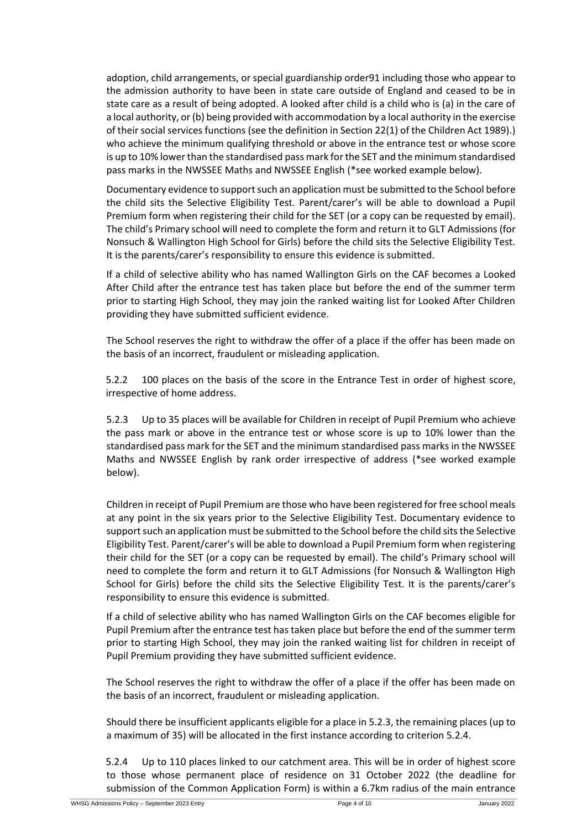adoption, child arrangements, or special guardianship order91 including those who appear to the admission authority to have been in state care outside of England and ceased to be in state care as a result of being adopted. A looked after child is a child who is (a) in the care of a local authority, or (b) being provided with accommodation by a local authority in the exercise of their social services functions (see the definition in Section 22(1) of the Children Act 1989).) who achieve the minimum qualifying threshold or above in the entrance test or whose score is up to 10% lower than the standardised pass mark for the SET and the minimum standardised pass marks in the NWSSEE Maths and NWSSEE English (\*see worked example below).

Documentary evidence to support such an application must be submitted to the School before the child sits the Selective Eligibility Test. Parent/carer's will be able to download a Pupil Premium form when registering their child for the SET (or a copy can be requested by email). The child's Primary school will need to complete the form and return it to GLT Admissions (for Nonsuch & Wallington High School for Girls) before the child sits the Selective Eligibility Test. It is the parents/carer's responsibility to ensure this evidence is submitted.

If a child of selective ability who has named Wallington Girls on the CAF becomes a Looked After Child after the entrance test has taken place but before the end of the summer term prior to starting High School, they may join the ranked waiting list for Looked After Children providing they have submitted sufficient evidence.

The School reserves the right to withdraw the offer of a place if the offer has been made on the basis of an incorrect, fraudulent or misleading application.

5.2.2 100 places on the basis of the score in the Entrance Test in order of highest score, irrespective of home address.

5.2.3 Up to 35 places will be available for Children in receipt of Pupil Premium who achieve the pass mark or above in the entrance test or whose score is up to 10% lower than the standardised pass mark for the SET and the minimum standardised pass marks in the NWSSEE Maths and NWSSEE English by rank order irrespective of address (\*see worked example below).

Children in receipt of Pupil Premium are those who have been registered for free school meals at any point in the six years prior to the Selective Eligibility Test. Documentary evidence to support such an application must be submitted to the School before the child sits the Selective Eligibility Test. Parent/carer's will be able to download a Pupil Premium form when registering their child for the SET (or a copy can be requested by email). The child's Primary school will need to complete the form and return it to GLT Admissions (for Nonsuch & Wallington High School for Girls) before the child sits the Selective Eligibility Test. It is the parents/carer's responsibility to ensure this evidence is submitted.

If a child of selective ability who has named Wallington Girls on the CAF becomes eligible for Pupil Premium after the entrance test has taken place but before the end of the summer term prior to starting High School, they may join the ranked waiting list for children in receipt of Pupil Premium providing they have submitted sufficient evidence.

The School reserves the right to withdraw the offer of a place if the offer has been made on the basis of an incorrect, fraudulent or misleading application.

Should there be insufficient applicants eligible for a place in 5.2.3, the remaining places (up to a maximum of 35) will be allocated in the first instance according to criterion 5.2.4.

5.2.4 Up to 110 places linked to our catchment area. This will be in order of highest score to those whose permanent place of residence on 31 October 2022 (the deadline for submission of the Common Application Form) is within a 6.7km radius of the main entrance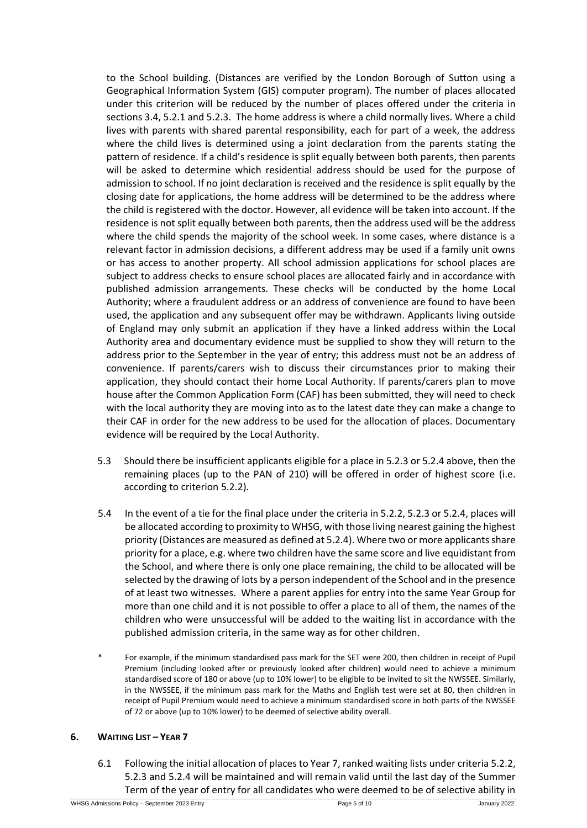to the School building. (Distances are verified by the London Borough of Sutton using a Geographical Information System (GIS) computer program). The number of places allocated under this criterion will be reduced by the number of places offered under the criteria in sections 3.4, 5.2.1 and 5.2.3. The home address is where a child normally lives. Where a child lives with parents with shared parental responsibility, each for part of a week, the address where the child lives is determined using a joint declaration from the parents stating the pattern of residence. If a child's residence is split equally between both parents, then parents will be asked to determine which residential address should be used for the purpose of admission to school. If no joint declaration is received and the residence is split equally by the closing date for applications, the home address will be determined to be the address where the child is registered with the doctor. However, all evidence will be taken into account. If the residence is not split equally between both parents, then the address used will be the address where the child spends the majority of the school week. In some cases, where distance is a relevant factor in admission decisions, a different address may be used if a family unit owns or has access to another property. All school admission applications for school places are subject to address checks to ensure school places are allocated fairly and in accordance with published admission arrangements. These checks will be conducted by the home Local Authority; where a fraudulent address or an address of convenience are found to have been used, the application and any subsequent offer may be withdrawn. Applicants living outside of England may only submit an application if they have a linked address within the Local Authority area and documentary evidence must be supplied to show they will return to the address prior to the September in the year of entry; this address must not be an address of convenience. If parents/carers wish to discuss their circumstances prior to making their application, they should contact their home Local Authority. If parents/carers plan to move house after the Common Application Form (CAF) has been submitted, they will need to check with the local authority they are moving into as to the latest date they can make a change to their CAF in order for the new address to be used for the allocation of places. Documentary evidence will be required by the Local Authority.

- 5.3 Should there be insufficient applicants eligible for a place in 5.2.3 or 5.2.4 above, then the remaining places (up to the PAN of 210) will be offered in order of highest score (i.e. according to criterion 5.2.2).
- 5.4 In the event of a tie for the final place under the criteria in 5.2.2, 5.2.3 or 5.2.4, places will be allocated according to proximity to WHSG, with those living nearest gaining the highest priority (Distances are measured as defined at 5.2.4). Where two or more applicants share priority for a place, e.g. where two children have the same score and live equidistant from the School, and where there is only one place remaining, the child to be allocated will be selected by the drawing of lots by a person independent of the School and in the presence of at least two witnesses. Where a parent applies for entry into the same Year Group for more than one child and it is not possible to offer a place to all of them, the names of the children who were unsuccessful will be added to the waiting list in accordance with the published admission criteria, in the same way as for other children.
- For example, if the minimum standardised pass mark for the SET were 200, then children in receipt of Pupil Premium (including looked after or previously looked after children) would need to achieve a minimum standardised score of 180 or above (up to 10% lower) to be eligible to be invited to sit the NWSSEE. Similarly, in the NWSSEE, if the minimum pass mark for the Maths and English test were set at 80, then children in receipt of Pupil Premium would need to achieve a minimum standardised score in both parts of the NWSSEE of 72 or above (up to 10% lower) to be deemed of selective ability overall.

## **6. WAITING LIST – YEAR 7**

6.1 Following the initial allocation of places to Year 7, ranked waiting lists under criteria 5.2.2, 5.2.3 and 5.2.4 will be maintained and will remain valid until the last day of the Summer Term of the year of entry for all candidates who were deemed to be of selective ability in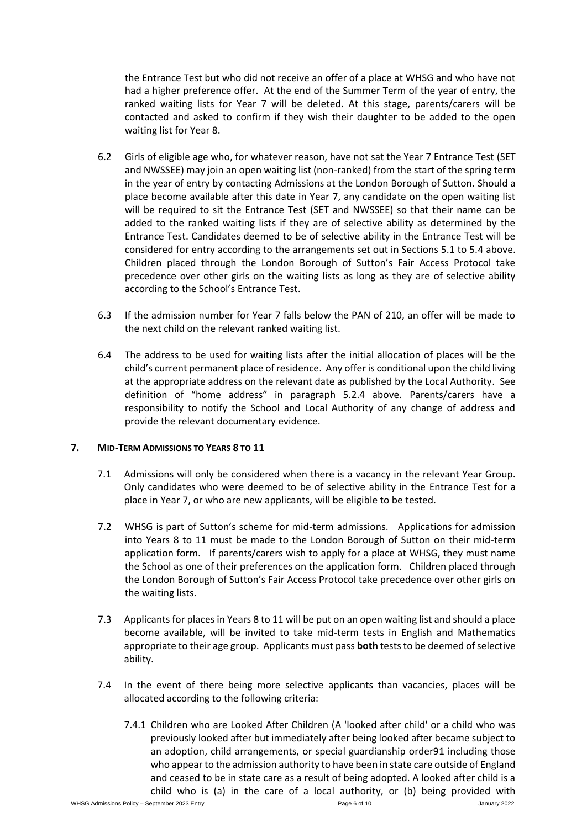the Entrance Test but who did not receive an offer of a place at WHSG and who have not had a higher preference offer. At the end of the Summer Term of the year of entry, the ranked waiting lists for Year 7 will be deleted. At this stage, parents/carers will be contacted and asked to confirm if they wish their daughter to be added to the open waiting list for Year 8.

- 6.2 Girls of eligible age who, for whatever reason, have not sat the Year 7 Entrance Test (SET and NWSSEE) may join an open waiting list (non-ranked) from the start of the spring term in the year of entry by contacting Admissions at the London Borough of Sutton. Should a place become available after this date in Year 7, any candidate on the open waiting list will be required to sit the Entrance Test (SET and NWSSEE) so that their name can be added to the ranked waiting lists if they are of selective ability as determined by the Entrance Test. Candidates deemed to be of selective ability in the Entrance Test will be considered for entry according to the arrangements set out in Sections 5.1 to 5.4 above. Children placed through the London Borough of Sutton's Fair Access Protocol take precedence over other girls on the waiting lists as long as they are of selective ability according to the School's Entrance Test.
- 6.3 If the admission number for Year 7 falls below the PAN of 210, an offer will be made to the next child on the relevant ranked waiting list.
- 6.4 The address to be used for waiting lists after the initial allocation of places will be the child's current permanent place of residence. Any offer is conditional upon the child living at the appropriate address on the relevant date as published by the Local Authority. See definition of "home address" in paragraph 5.2.4 above. Parents/carers have a responsibility to notify the School and Local Authority of any change of address and provide the relevant documentary evidence.

## **7. MID-TERM ADMISSIONS TO YEARS 8 TO 11**

- 7.1 Admissions will only be considered when there is a vacancy in the relevant Year Group. Only candidates who were deemed to be of selective ability in the Entrance Test for a place in Year 7, or who are new applicants, will be eligible to be tested.
- 7.2 WHSG is part of Sutton's scheme for mid-term admissions. Applications for admission into Years 8 to 11 must be made to the London Borough of Sutton on their mid-term application form. If parents/carers wish to apply for a place at WHSG, they must name the School as one of their preferences on the application form. Children placed through the London Borough of Sutton's Fair Access Protocol take precedence over other girls on the waiting lists.
- 7.3 Applicants for places in Years 8 to 11 will be put on an open waiting list and should a place become available, will be invited to take mid-term tests in English and Mathematics appropriate to their age group. Applicants must pass **both** tests to be deemed of selective ability.
- 7.4 In the event of there being more selective applicants than vacancies, places will be allocated according to the following criteria:
	- 7.4.1 Children who are Looked After Children (A 'looked after child' or a child who was previously looked after but immediately after being looked after became subject to an adoption, child arrangements, or special guardianship order91 including those who appear to the admission authority to have been in state care outside of England and ceased to be in state care as a result of being adopted. A looked after child is a child who is (a) in the care of a local authority, or (b) being provided with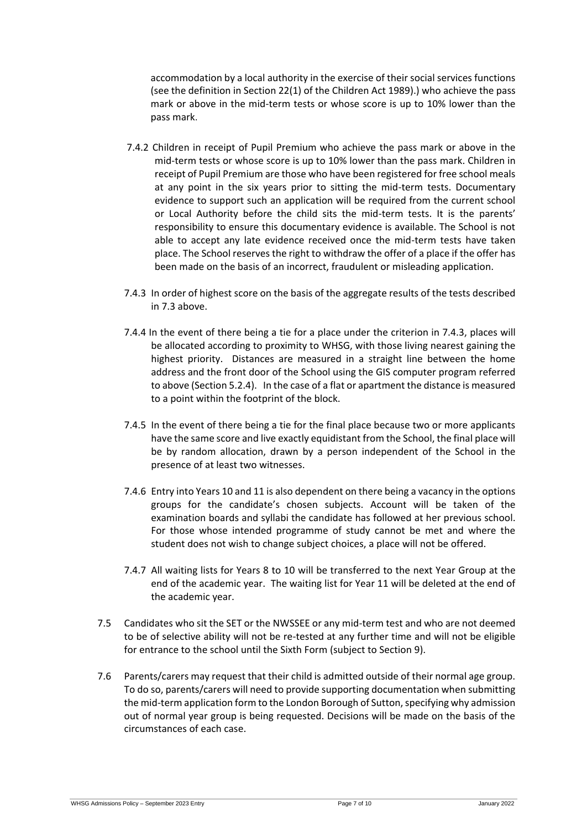accommodation by a local authority in the exercise of their social services functions (see the definition in Section 22(1) of the Children Act 1989).) who achieve the pass mark or above in the mid-term tests or whose score is up to 10% lower than the pass mark.

- 7.4.2 Children in receipt of Pupil Premium who achieve the pass mark or above in the mid-term tests or whose score is up to 10% lower than the pass mark. Children in receipt of Pupil Premium are those who have been registered for free school meals at any point in the six years prior to sitting the mid-term tests. Documentary evidence to support such an application will be required from the current school or Local Authority before the child sits the mid-term tests. It is the parents' responsibility to ensure this documentary evidence is available. The School is not able to accept any late evidence received once the mid-term tests have taken place. The School reserves the right to withdraw the offer of a place if the offer has been made on the basis of an incorrect, fraudulent or misleading application.
- 7.4.3 In order of highest score on the basis of the aggregate results of the tests described in 7.3 above.
- 7.4.4 In the event of there being a tie for a place under the criterion in 7.4.3, places will be allocated according to proximity to WHSG, with those living nearest gaining the highest priority. Distances are measured in a straight line between the home address and the front door of the School using the GIS computer program referred to above (Section 5.2.4). In the case of a flat or apartment the distance is measured to a point within the footprint of the block.
- 7.4.5 In the event of there being a tie for the final place because two or more applicants have the same score and live exactly equidistant from the School, the final place will be by random allocation, drawn by a person independent of the School in the presence of at least two witnesses.
- 7.4.6 Entry into Years 10 and 11 is also dependent on there being a vacancy in the options groups for the candidate's chosen subjects. Account will be taken of the examination boards and syllabi the candidate has followed at her previous school. For those whose intended programme of study cannot be met and where the student does not wish to change subject choices, a place will not be offered.
- 7.4.7 All waiting lists for Years 8 to 10 will be transferred to the next Year Group at the end of the academic year. The waiting list for Year 11 will be deleted at the end of the academic year.
- 7.5 Candidates who sit the SET or the NWSSEE or any mid-term test and who are not deemed to be of selective ability will not be re-tested at any further time and will not be eligible for entrance to the school until the Sixth Form (subject to Section 9).
- 7.6 Parents/carers may request that their child is admitted outside of their normal age group. To do so, parents/carers will need to provide supporting documentation when submitting the mid-term application form to the London Borough of Sutton, specifying why admission out of normal year group is being requested. Decisions will be made on the basis of the circumstances of each case.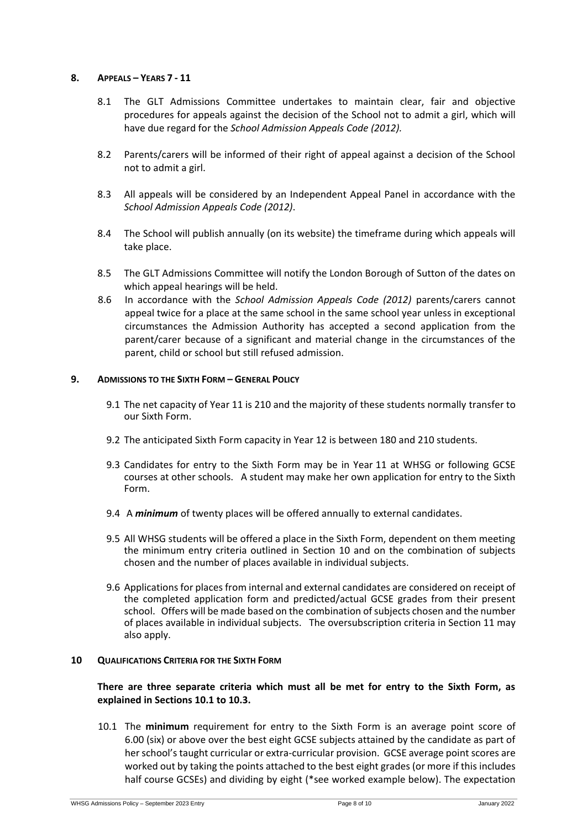#### **8. APPEALS – YEARS 7 - 11**

- 8.1 The GLT Admissions Committee undertakes to maintain clear, fair and objective procedures for appeals against the decision of the School not to admit a girl, which will have due regard for the *School Admission Appeals Code (2012).*
- 8.2 Parents/carers will be informed of their right of appeal against a decision of the School not to admit a girl.
- 8.3 All appeals will be considered by an Independent Appeal Panel in accordance with the *School Admission Appeals Code (2012)*.
- 8.4 The School will publish annually (on its website) the timeframe during which appeals will take place.
- 8.5 The GLT Admissions Committee will notify the London Borough of Sutton of the dates on which appeal hearings will be held.
- 8.6 In accordance with the *School Admission Appeals Code (2012)* parents/carers cannot appeal twice for a place at the same school in the same school year unless in exceptional circumstances the Admission Authority has accepted a second application from the parent/carer because of a significant and material change in the circumstances of the parent, child or school but still refused admission.

#### **9. ADMISSIONS TO THE SIXTH FORM – GENERAL POLICY**

- 9.1 The net capacity of Year 11 is 210 and the majority of these students normally transfer to our Sixth Form.
- 9.2 The anticipated Sixth Form capacity in Year 12 is between 180 and 210 students.
- 9.3 Candidates for entry to the Sixth Form may be in Year 11 at WHSG or following GCSE courses at other schools. A student may make her own application for entry to the Sixth Form.
- 9.4 A *minimum* of twenty places will be offered annually to external candidates.
- 9.5 All WHSG students will be offered a place in the Sixth Form, dependent on them meeting the minimum entry criteria outlined in Section 10 and on the combination of subjects chosen and the number of places available in individual subjects.
- 9.6 Applications for places from internal and external candidates are considered on receipt of the completed application form and predicted/actual GCSE grades from their present school. Offers will be made based on the combination of subjects chosen and the number of places available in individual subjects. The oversubscription criteria in Section 11 may also apply.

#### **10 QUALIFICATIONS CRITERIA FOR THE SIXTH FORM**

## **There are three separate criteria which must all be met for entry to the Sixth Form, as explained in Sections 10.1 to 10.3.**

10.1 The **minimum** requirement for entry to the Sixth Form is an average point score of 6.00 (six) or above over the best eight GCSE subjects attained by the candidate as part of her school's taught curricular or extra-curricular provision. GCSE average point scores are worked out by taking the points attached to the best eight grades (or more if this includes half course GCSEs) and dividing by eight (\*see worked example below). The expectation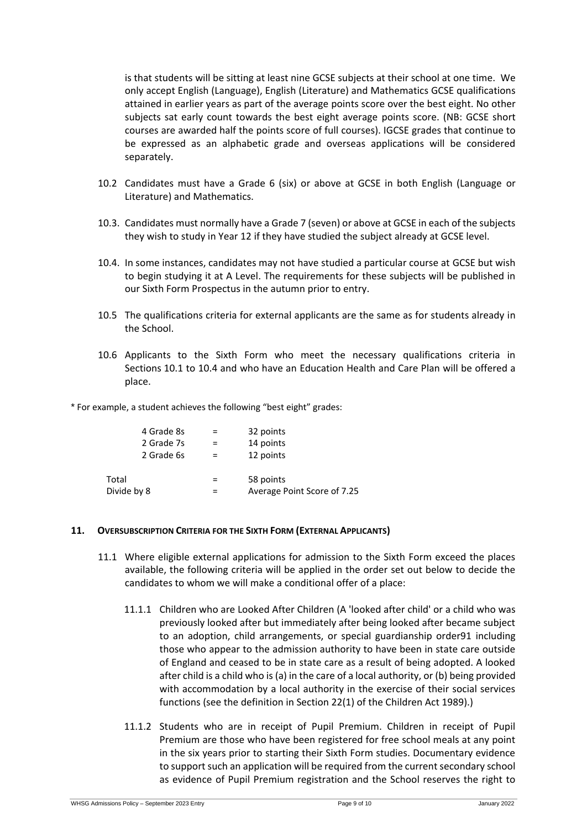is that students will be sitting at least nine GCSE subjects at their school at one time. We only accept English (Language), English (Literature) and Mathematics GCSE qualifications attained in earlier years as part of the average points score over the best eight. No other subjects sat early count towards the best eight average points score. (NB: GCSE short courses are awarded half the points score of full courses). IGCSE grades that continue to be expressed as an alphabetic grade and overseas applications will be considered separately.

- 10.2 Candidates must have a Grade 6 (six) or above at GCSE in both English (Language or Literature) and Mathematics.
- 10.3. Candidates must normally have a Grade 7 (seven) or above at GCSE in each of the subjects they wish to study in Year 12 if they have studied the subject already at GCSE level.
- 10.4. In some instances, candidates may not have studied a particular course at GCSE but wish to begin studying it at A Level. The requirements for these subjects will be published in our Sixth Form Prospectus in the autumn prior to entry.
- 10.5 The qualifications criteria for external applicants are the same as for students already in the School.
- 10.6 Applicants to the Sixth Form who meet the necessary qualifications criteria in Sections 10.1 to 10.4 and who have an Education Health and Care Plan will be offered a place.

\* For example, a student achieves the following "best eight" grades:

|             | 4 Grade 8s | 32 points                   |
|-------------|------------|-----------------------------|
|             | 2 Grade 7s | 14 points                   |
|             | 2 Grade 6s | 12 points                   |
| Total       |            | 58 points                   |
| Divide by 8 |            | Average Point Score of 7.25 |

#### **11. OVERSUBSCRIPTION CRITERIA FOR THE SIXTH FORM (EXTERNAL APPLICANTS)**

- 11.1 Where eligible external applications for admission to the Sixth Form exceed the places available, the following criteria will be applied in the order set out below to decide the candidates to whom we will make a conditional offer of a place:
	- 11.1.1 Children who are Looked After Children (A 'looked after child' or a child who was previously looked after but immediately after being looked after became subject to an adoption, child arrangements, or special guardianship order91 including those who appear to the admission authority to have been in state care outside of England and ceased to be in state care as a result of being adopted. A looked after child is a child who is (a) in the care of a local authority, or (b) being provided with accommodation by a local authority in the exercise of their social services functions (see the definition in Section 22(1) of the Children Act 1989).)
	- 11.1.2 Students who are in receipt of Pupil Premium. Children in receipt of Pupil Premium are those who have been registered for free school meals at any point in the six years prior to starting their Sixth Form studies. Documentary evidence to support such an application will be required from the current secondary school as evidence of Pupil Premium registration and the School reserves the right to